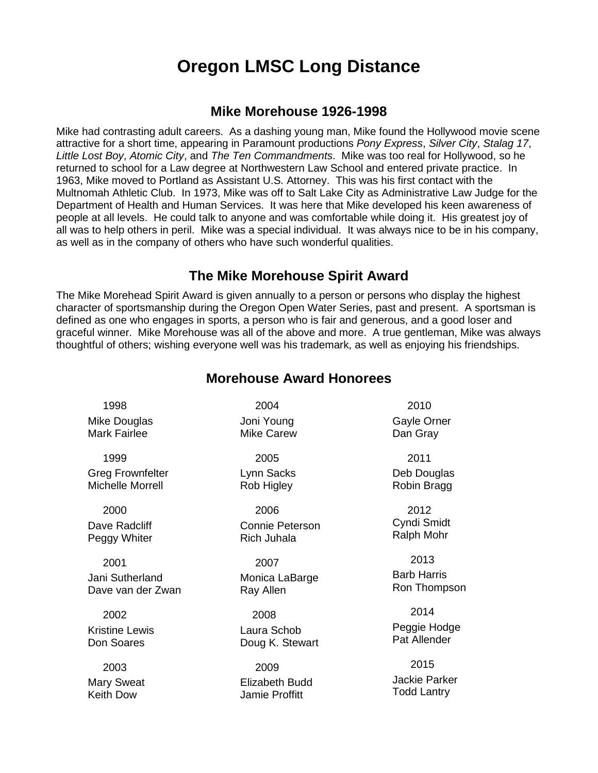## **Oregon LMSC Long Distance**

## **Mike Morehouse 1926-1998**

Mike had contrasting adult careers. As a dashing young man, Mike found the Hollywood movie scene attractive for a short time, appearing in Paramount productions *Pony Express*, *Silver City*, *Stalag 17*, *Little Lost Boy*, *Atomic City*, and *The Ten Commandments*. Mike was too real for Hollywood, so he returned to school for a Law degree at Northwestern Law School and entered private practice. In 1963, Mike moved to Portland as Assistant U.S. Attorney. This was his first contact with the Multnomah Athletic Club. In 1973, Mike was off to Salt Lake City as Administrative Law Judge for the Department of Health and Human Services. It was here that Mike developed his keen awareness of people at all levels. He could talk to anyone and was comfortable while doing it. His greatest joy of all was to help others in peril. Mike was a special individual. It was always nice to be in his company, as well as in the company of others who have such wonderful qualities.

## **The Mike Morehouse Spirit Award**

The Mike Morehead Spirit Award is given annually to a person or persons who display the highest character of sportsmanship during the Oregon Open Water Series, past and present. A sportsman is defined as one who engages in sports, a person who is fair and generous, and a good loser and graceful winner. Mike Morehouse was all of the above and more. A true gentleman, Mike was always thoughtful of others; wishing everyone well was his trademark, as well as enjoying his friendships.

| <b>Morehouse Award Honorees</b> |  |  |
|---------------------------------|--|--|
|---------------------------------|--|--|

 1998 Mike Douglas Mark Fairlee

 1999 Greg Frownfelter Michelle Morrell

 2000 Dave Radcliff Peggy Whiter

 2001 Jani Sutherland Dave van der Zwan

 2002 Kristine Lewis Don Soares

 2003 Mary Sweat Keith Dow

 2004 Joni Young Mike Carew

 2005 Lynn Sacks Rob Higley

 2006 Connie Peterson Rich Juhala

 2007 Monica LaBarge Ray Allen

 2008 Laura Schob Doug K. Stewart

 2009 Elizabeth Budd Jamie Proffitt

 2010 Gayle Orner Dan Gray

 2011 Deb Douglas Robin Bragg

 2012 Cyndi Smidt Ralph Mohr

 2013 Barb Harris Ron Thompson

 2014 Peggie Hodge Pat Allender

 2015 Jackie Parker Todd Lantry